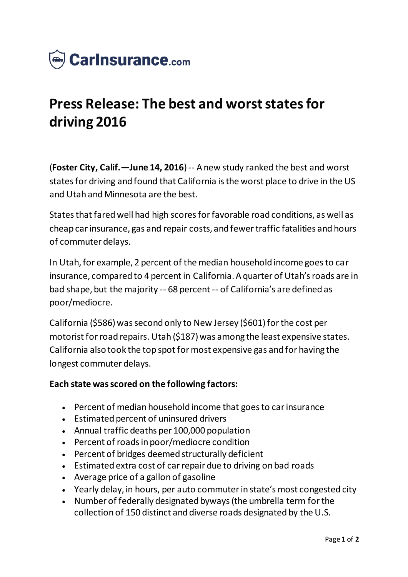

## **Press Release: The best and worst states for driving 2016**

(**Foster City, Calif.—June 14, 2016**) -- A new study ranked the best and worst states for driving and found that California is the worst place to drive in the US and Utah and Minnesota are the best.

States that fared well had high scores for favorable road conditions, as well as cheap car insurance, gas and repair costs, and fewer traffic fatalities and hours of commuter delays.

In Utah, for example, 2 percent of the median household income goes to car insurance, compared to 4 percent in California. A quarter of Utah's roads are in bad shape, but the majority -- 68 percent -- of California's are defined as poor/mediocre.

California (\$586) was second only to New Jersey (\$601) for the cost per motorist for road repairs. Utah (\$187) was among the least expensive states. California also took the top spot for most expensive gas and for having the longest commuter delays.

## **Each state was scored on the following factors:**

- Percent of median household income that goes to car insurance
- Estimated percent of uninsured drivers
- Annual traffic deaths per 100,000 population
- Percent of roads in poor/mediocre condition
- Percent of bridges deemed structurally deficient
- Estimated extra cost of car repair due to driving on bad roads
- Average price of a gallon of gasoline
- Yearly delay, in hours, per auto commuter in state's most congested city
- Number of federally designated byways (the umbrella term for the collection of 150 distinct and diverse roads designated by the U.S.